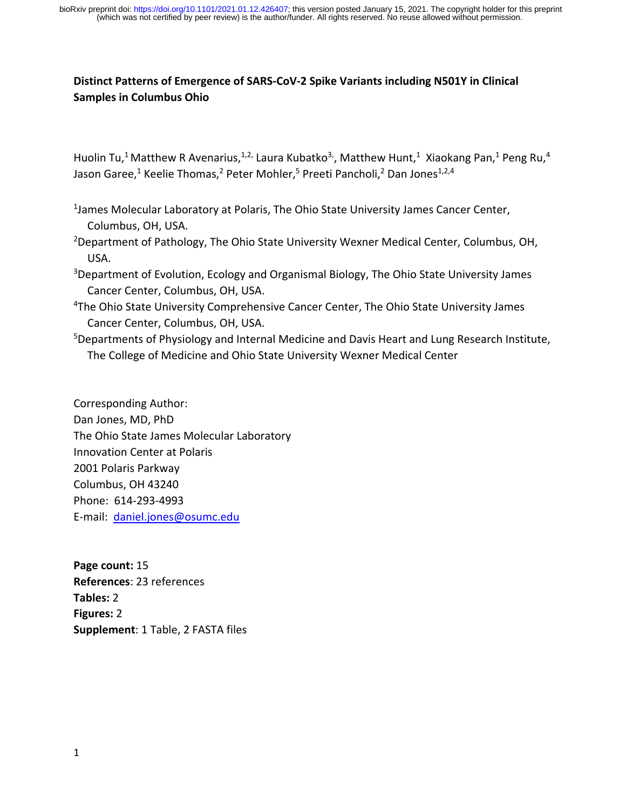## **Distinct Patterns of Emergence of SARS‐CoV‐2 Spike Variants including N501Y in Clinical Samples in Columbus Ohio**

Huolin Tu,<sup>1</sup> Matthew R Avenarius,<sup>1,2,</sup> Laura Kubatko<sup>3</sup>, Matthew Hunt,<sup>1</sup> Xiaokang Pan,<sup>1</sup> Peng Ru,<sup>4</sup> Jason Garee,<sup>1</sup> Keelie Thomas,<sup>2</sup> Peter Mohler,<sup>5</sup> Preeti Pancholi,<sup>2</sup> Dan Jones<sup>1,2,4</sup>

<sup>1</sup>James Molecular Laboratory at Polaris, The Ohio State University James Cancer Center, Columbus, OH, USA.

<sup>2</sup>Department of Pathology, The Ohio State University Wexner Medical Center, Columbus, OH, USA.

- <sup>3</sup>Department of Evolution, Ecology and Organismal Biology, The Ohio State University James Cancer Center, Columbus, OH, USA.
- 4The Ohio State University Comprehensive Cancer Center, The Ohio State University James Cancer Center, Columbus, OH, USA.
- 5 Departments of Physiology and Internal Medicine and Davis Heart and Lung Research Institute, The College of Medicine and Ohio State University Wexner Medical Center

Corresponding Author: Dan Jones, MD, PhD The Ohio State James Molecular Laboratory Innovation Center at Polaris 2001 Polaris Parkway Columbus, OH 43240 Phone: 614‐293‐4993 E‐mail: daniel.jones@osumc.edu

**Page count:** 15 **References**: 23 references **Tables:** 2 **Figures:** 2 **Supplement**: 1 Table, 2 FASTA files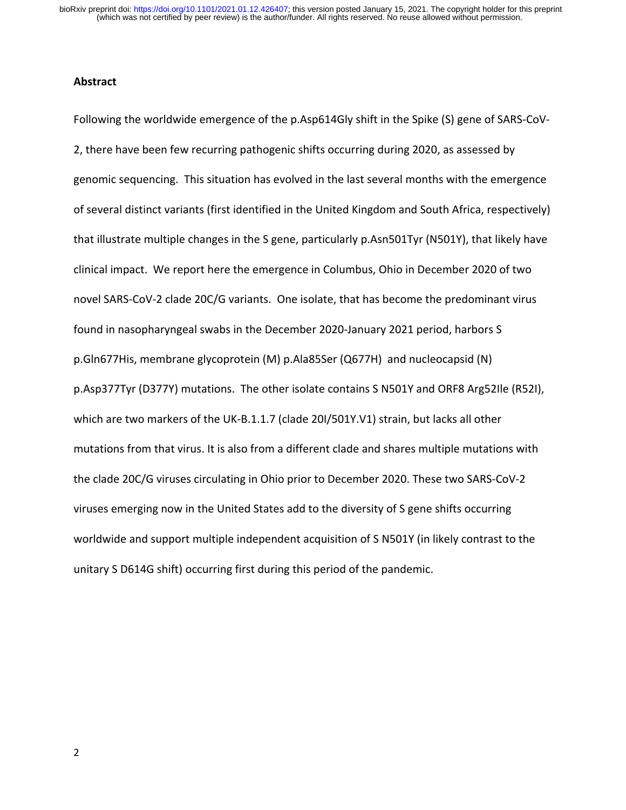## **Abstract**

Following the worldwide emergence of the p.Asp614Gly shift in the Spike (S) gene of SARS‐CoV‐ 2, there have been few recurring pathogenic shifts occurring during 2020, as assessed by genomic sequencing. This situation has evolved in the last several months with the emergence of several distinct variants (first identified in the United Kingdom and South Africa, respectively) that illustrate multiple changes in the S gene, particularly p.Asn501Tyr (N501Y), that likely have clinical impact. We report here the emergence in Columbus, Ohio in December 2020 of two novel SARS‐CoV‐2 clade 20C/G variants. One isolate, that has become the predominant virus found in nasopharyngeal swabs in the December 2020‐January 2021 period, harbors S p.Gln677His, membrane glycoprotein (M) p.Ala85Ser (Q677H) and nucleocapsid (N) p.Asp377Tyr (D377Y) mutations. The other isolate contains S N501Y and ORF8 Arg52Ile (R52I), which are two markers of the UK-B.1.1.7 (clade 20I/501Y.V1) strain, but lacks all other mutations from that virus. It is also from a different clade and shares multiple mutations with the clade 20C/G viruses circulating in Ohio prior to December 2020. These two SARS‐CoV‐2 viruses emerging now in the United States add to the diversity of S gene shifts occurring worldwide and support multiple independent acquisition of S N501Y (in likely contrast to the unitary S D614G shift) occurring first during this period of the pandemic.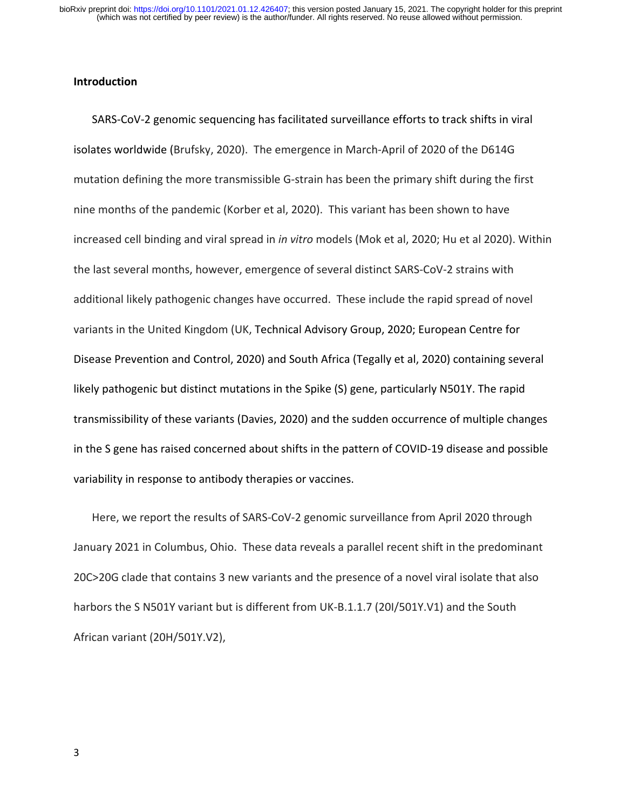## **Introduction**

SARS‐CoV‐2 genomic sequencing has facilitated surveillance efforts to track shifts in viral isolates worldwide (Brufsky, 2020). The emergence in March‐April of 2020 of the D614G mutation defining the more transmissible G‐strain has been the primary shift during the first nine months of the pandemic (Korber et al, 2020). This variant has been shown to have increased cell binding and viral spread in *in vitro* models (Mok et al, 2020; Hu et al 2020). Within the last several months, however, emergence of several distinct SARS‐CoV‐2 strains with additional likely pathogenic changes have occurred. These include the rapid spread of novel variants in the United Kingdom (UK, Technical Advisory Group, 2020; European Centre for Disease Prevention and Control, 2020) and South Africa (Tegally et al, 2020) containing several likely pathogenic but distinct mutations in the Spike (S) gene, particularly N501Y. The rapid transmissibility of these variants (Davies, 2020) and the sudden occurrence of multiple changes in the S gene has raised concerned about shifts in the pattern of COVID‐19 disease and possible variability in response to antibody therapies or vaccines.

Here, we report the results of SARS-CoV-2 genomic surveillance from April 2020 through January 2021 in Columbus, Ohio. These data reveals a parallel recent shift in the predominant 20C>20G clade that contains 3 new variants and the presence of a novel viral isolate that also harbors the S N501Y variant but is different from UK-B.1.1.7 (20I/501Y.V1) and the South African variant (20H/501Y.V2),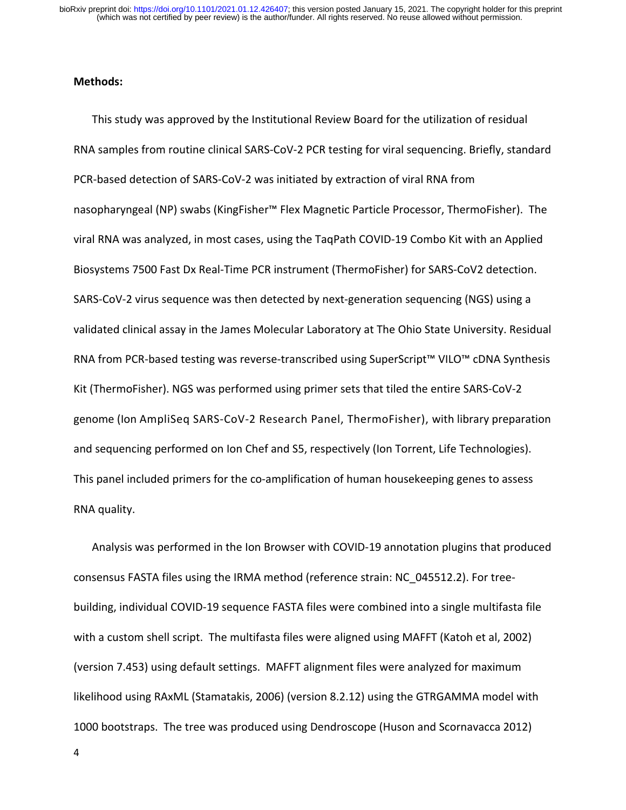## **Methods:**

This study was approved by the Institutional Review Board for the utilization of residual RNA samples from routine clinical SARS‐CoV‐2 PCR testing for viral sequencing. Briefly, standard PCR‐based detection of SARS‐CoV‐2 was initiated by extraction of viral RNA from nasopharyngeal (NP) swabs (KingFisher™ Flex Magnetic Particle Processor, ThermoFisher). The viral RNA was analyzed, in most cases, using the TaqPath COVID‐19 Combo Kit with an Applied Biosystems 7500 Fast Dx Real‐Time PCR instrument (ThermoFisher) for SARS‐CoV2 detection. SARS-CoV-2 virus sequence was then detected by next-generation sequencing (NGS) using a validated clinical assay in the James Molecular Laboratory at The Ohio State University. Residual RNA from PCR‐based testing was reverse‐transcribed using SuperScript™ VILO™ cDNA Synthesis Kit (ThermoFisher). NGS was performed using primer sets that tiled the entire SARS‐CoV‐2 genome (Ion AmpliSeq SARS‐CoV‐2 Research Panel, ThermoFisher), with library preparation and sequencing performed on Ion Chef and S5, respectively (Ion Torrent, Life Technologies). This panel included primers for the co-amplification of human housekeeping genes to assess RNA quality.

Analysis was performed in the Ion Browser with COVID‐19 annotation plugins that produced consensus FASTA files using the IRMA method (reference strain: NC\_045512.2). For tree‐ building, individual COVID‐19 sequence FASTA files were combined into a single multifasta file with a custom shell script. The multifasta files were aligned using MAFFT (Katoh et al, 2002) (version 7.453) using default settings. MAFFT alignment files were analyzed for maximum likelihood using RAxML (Stamatakis, 2006) (version 8.2.12) using the GTRGAMMA model with 1000 bootstraps. The tree was produced using Dendroscope (Huson and Scornavacca 2012)

4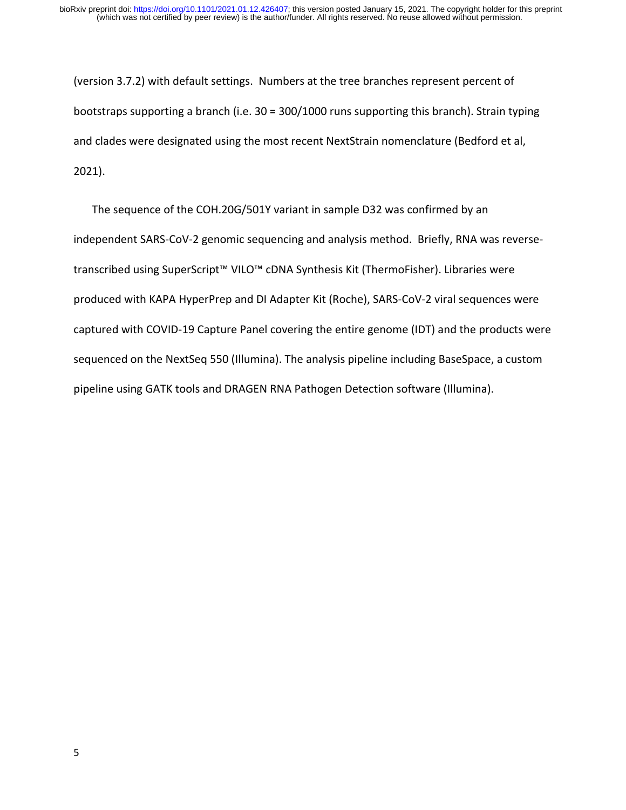(version 3.7.2) with default settings. Numbers at the tree branches represent percent of bootstraps supporting a branch (i.e. 30 = 300/1000 runs supporting this branch). Strain typing and clades were designated using the most recent NextStrain nomenclature (Bedford et al, 2021).

The sequence of the COH.20G/501Y variant in sample D32 was confirmed by an independent SARS‐CoV‐2 genomic sequencing and analysis method. Briefly, RNA was reverse‐ transcribed using SuperScript™ VILO™ cDNA Synthesis Kit (ThermoFisher). Libraries were produced with KAPA HyperPrep and DI Adapter Kit (Roche), SARS‐CoV‐2 viral sequences were captured with COVID‐19 Capture Panel covering the entire genome (IDT) and the products were sequenced on the NextSeq 550 (Illumina). The analysis pipeline including BaseSpace, a custom pipeline using GATK tools and DRAGEN RNA Pathogen Detection software (Illumina).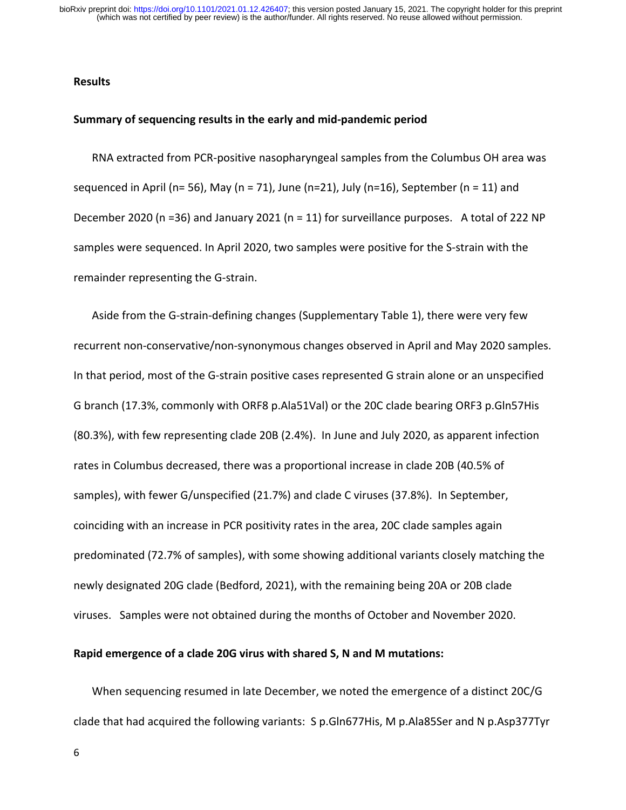(which was not certified by peer review) is the author/funder. All rights reserved. No reuse allowed without permission. bioRxiv preprint doi: [https://doi.org/10.1101/2021.01.12.426407;](https://doi.org/10.1101/2021.01.12.426407) this version posted January 15, 2021. The copyright holder for this preprint

#### **Results**

#### **Summary of sequencing results in the early and mid‐pandemic period**

RNA extracted from PCR‐positive nasopharyngeal samples from the Columbus OH area was sequenced in April (n= 56), May (n = 71), June (n=21), July (n=16), September (n = 11) and December 2020 (n =36) and January 2021 (n = 11) for surveillance purposes. A total of 222 NP samples were sequenced. In April 2020, two samples were positive for the S‐strain with the remainder representing the G‐strain.

Aside from the G‐strain‐defining changes (Supplementary Table 1), there were very few recurrent non‐conservative/non‐synonymous changes observed in April and May 2020 samples. In that period, most of the G‐strain positive cases represented G strain alone or an unspecified G branch (17.3%, commonly with ORF8 p.Ala51Val) or the 20C clade bearing ORF3 p.Gln57His (80.3%), with few representing clade 20B (2.4%). In June and July 2020, as apparent infection rates in Columbus decreased, there was a proportional increase in clade 20B (40.5% of samples), with fewer G/unspecified (21.7%) and clade C viruses (37.8%). In September, coinciding with an increase in PCR positivity rates in the area, 20C clade samples again predominated (72.7% of samples), with some showing additional variants closely matching the newly designated 20G clade (Bedford, 2021), with the remaining being 20A or 20B clade viruses. Samples were not obtained during the months of October and November 2020.

#### **Rapid emergence of a clade 20G virus with shared S, N and M mutations:**

When sequencing resumed in late December, we noted the emergence of a distinct 20C/G clade that had acquired the following variants: S p.Gln677His, M p.Ala85Ser and N p.Asp377Tyr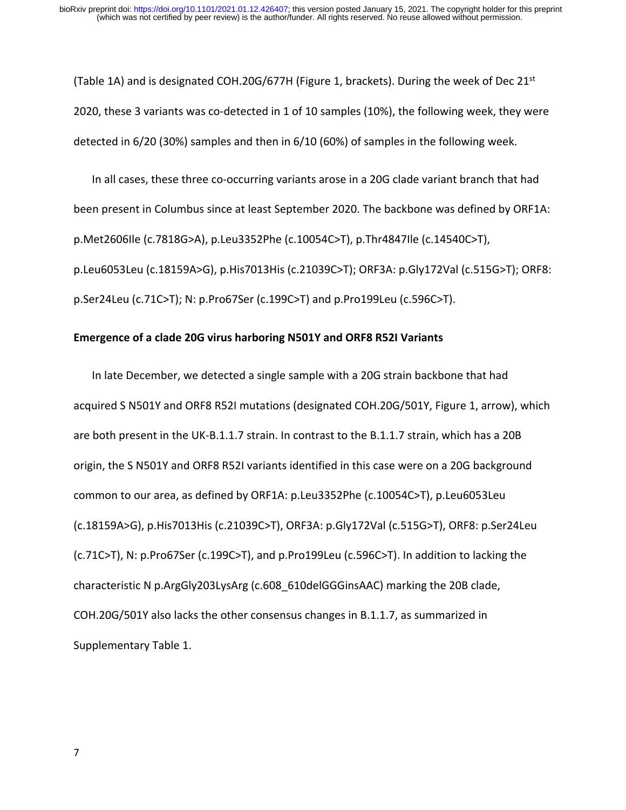(Table 1A) and is designated COH.20G/677H (Figure 1, brackets). During the week of Dec  $21^{st}$ 2020, these 3 variants was co‐detected in 1 of 10 samples (10%), the following week, they were detected in 6/20 (30%) samples and then in 6/10 (60%) of samples in the following week.

In all cases, these three co‐occurring variants arose in a 20G clade variant branch that had been present in Columbus since at least September 2020. The backbone was defined by ORF1A: p.Met2606Ile (c.7818G>A), p.Leu3352Phe (c.10054C>T), p.Thr4847Ile (c.14540C>T), p.Leu6053Leu (c.18159A>G), p.His7013His (c.21039C>T); ORF3A: p.Gly172Val (c.515G>T); ORF8: p.Ser24Leu (c.71C>T); N: p.Pro67Ser (c.199C>T) and p.Pro199Leu (c.596C>T).

## **Emergence of a clade 20G virus harboring N501Y and ORF8 R52I Variants**

In late December, we detected a single sample with a 20G strain backbone that had acquired S N501Y and ORF8 R52I mutations (designated COH.20G/501Y, Figure 1, arrow), which are both present in the UK‐B.1.1.7 strain. In contrast to the B.1.1.7 strain, which has a 20B origin, the S N501Y and ORF8 R52I variants identified in this case were on a 20G background common to our area, as defined by ORF1A: p.Leu3352Phe (c.10054C>T), p.Leu6053Leu (c.18159A>G), p.His7013His (c.21039C>T), ORF3A: p.Gly172Val (c.515G>T), ORF8: p.Ser24Leu (c.71C>T), N: p.Pro67Ser (c.199C>T), and p.Pro199Leu (c.596C>T). In addition to lacking the characteristic N p.ArgGly203LysArg (c.608\_610delGGGinsAAC) marking the 20B clade, COH.20G/501Y also lacks the other consensus changes in B.1.1.7, as summarized in Supplementary Table 1.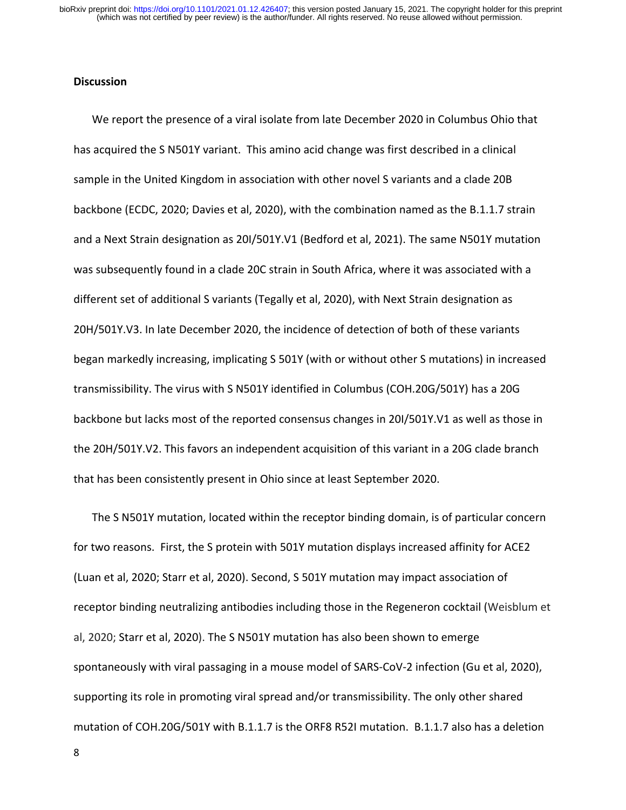## **Discussion**

We report the presence of a viral isolate from late December 2020 in Columbus Ohio that has acquired the S N501Y variant. This amino acid change was first described in a clinical sample in the United Kingdom in association with other novel S variants and a clade 20B backbone (ECDC, 2020; Davies et al, 2020), with the combination named as the B.1.1.7 strain and a Next Strain designation as 20I/501Y.V1 (Bedford et al, 2021). The same N501Y mutation was subsequently found in a clade 20C strain in South Africa, where it was associated with a different set of additional S variants (Tegally et al, 2020), with Next Strain designation as 20H/501Y.V3. In late December 2020, the incidence of detection of both of these variants began markedly increasing, implicating S 501Y (with or without other S mutations) in increased transmissibility. The virus with S N501Y identified in Columbus (COH.20G/501Y) has a 20G backbone but lacks most of the reported consensus changes in 20I/501Y.V1 as well as those in the 20H/501Y.V2. This favors an independent acquisition of this variant in a 20G clade branch that has been consistently present in Ohio since at least September 2020.

The S N501Y mutation, located within the receptor binding domain, is of particular concern for two reasons. First, the S protein with 501Y mutation displays increased affinity for ACE2 (Luan et al, 2020; Starr et al, 2020). Second, S 501Y mutation may impact association of receptor binding neutralizing antibodies including those in the Regeneron cocktail (Weisblum et al, 2020; Starr et al, 2020). The S N501Y mutation has also been shown to emerge spontaneously with viral passaging in a mouse model of SARS‐CoV‐2 infection (Gu et al, 2020), supporting its role in promoting viral spread and/or transmissibility. The only other shared mutation of COH.20G/501Y with B.1.1.7 is the ORF8 R52I mutation. B.1.1.7 also has a deletion

8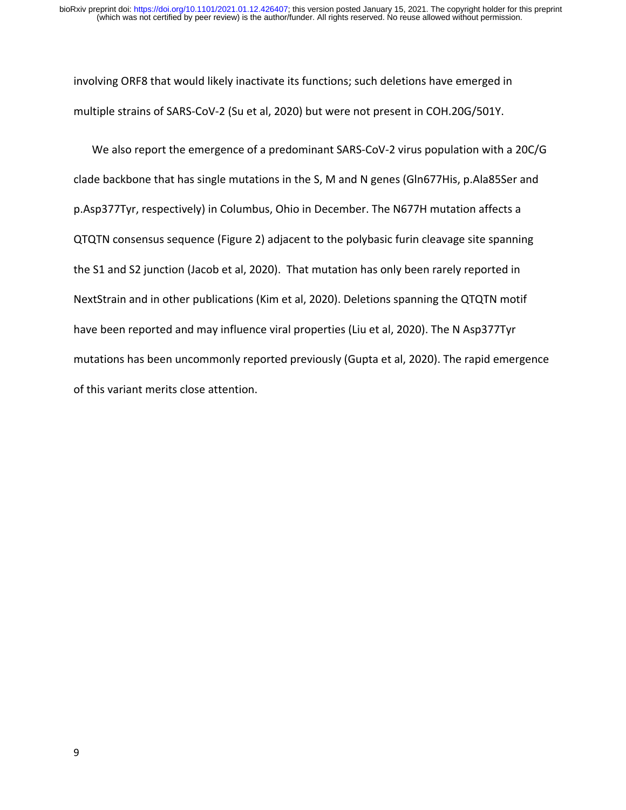involving ORF8 that would likely inactivate its functions; such deletions have emerged in multiple strains of SARS‐CoV‐2 (Su et al, 2020) but were not present in COH.20G/501Y.

We also report the emergence of a predominant SARS-CoV-2 virus population with a 20C/G clade backbone that has single mutations in the S, M and N genes (Gln677His, p.Ala85Ser and p.Asp377Tyr, respectively) in Columbus, Ohio in December. The N677H mutation affects a QTQTN consensus sequence (Figure 2) adjacent to the polybasic furin cleavage site spanning the S1 and S2 junction (Jacob et al, 2020). That mutation has only been rarely reported in NextStrain and in other publications (Kim et al, 2020). Deletions spanning the QTQTN motif have been reported and may influence viral properties (Liu et al, 2020). The N Asp377Tyr mutations has been uncommonly reported previously (Gupta et al, 2020). The rapid emergence of this variant merits close attention.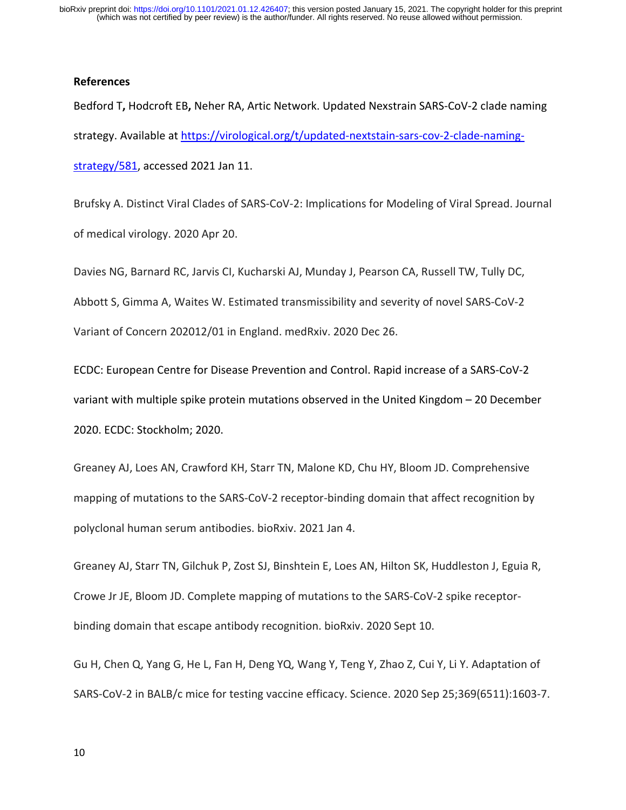#### **References**

Bedford T**,** Hodcroft EB**,** Neher RA, Artic Network. Updated Nexstrain SARS‐CoV‐2 clade naming strategy. Available at https://virological.org/t/updated‐nextstain‐sars‐cov‐2‐clade‐naming‐ strategy/581, accessed 2021 Jan 11.

Brufsky A. Distinct Viral Clades of SARS‐CoV‐2: Implications for Modeling of Viral Spread. Journal of medical virology. 2020 Apr 20.

Davies NG, Barnard RC, Jarvis CI, Kucharski AJ, Munday J, Pearson CA, Russell TW, Tully DC, Abbott S, Gimma A, Waites W. Estimated transmissibility and severity of novel SARS‐CoV‐2 Variant of Concern 202012/01 in England. medRxiv. 2020 Dec 26.

ECDC: European Centre for Disease Prevention and Control. Rapid increase of a SARS‐CoV‐2 variant with multiple spike protein mutations observed in the United Kingdom – 20 December 2020. ECDC: Stockholm; 2020.

Greaney AJ, Loes AN, Crawford KH, Starr TN, Malone KD, Chu HY, Bloom JD. Comprehensive mapping of mutations to the SARS‐CoV‐2 receptor‐binding domain that affect recognition by polyclonal human serum antibodies. bioRxiv. 2021 Jan 4.

Greaney AJ, Starr TN, Gilchuk P, Zost SJ, Binshtein E, Loes AN, Hilton SK, Huddleston J, Eguia R, Crowe Jr JE, Bloom JD. Complete mapping of mutations to the SARS‐CoV‐2 spike receptor‐ binding domain that escape antibody recognition. bioRxiv. 2020 Sept 10.

Gu H, Chen Q, Yang G, He L, Fan H, Deng YQ, Wang Y, Teng Y, Zhao Z, Cui Y, Li Y. Adaptation of SARS‐CoV‐2 in BALB/c mice for testing vaccine efficacy. Science. 2020 Sep 25;369(6511):1603‐7.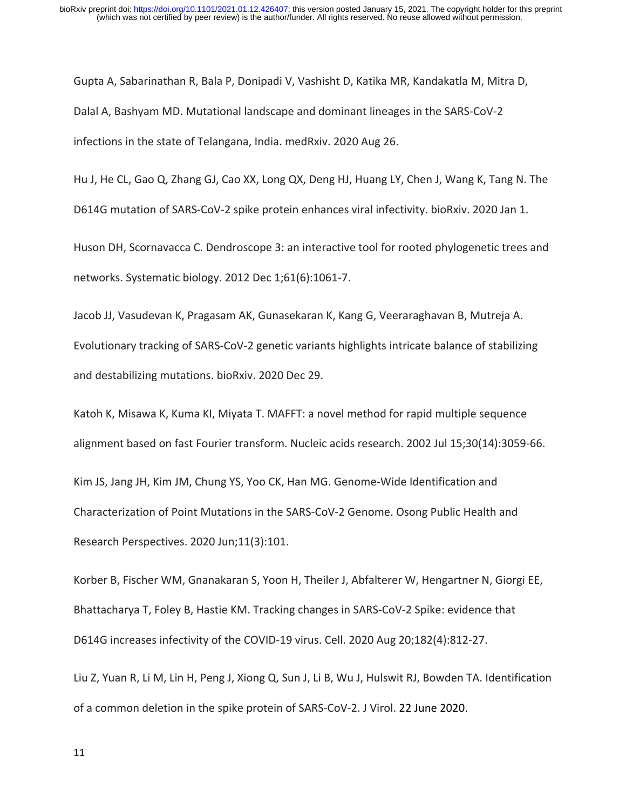Gupta A, Sabarinathan R, Bala P, Donipadi V, Vashisht D, Katika MR, Kandakatla M, Mitra D, Dalal A, Bashyam MD. Mutational landscape and dominant lineages in the SARS‐CoV‐2 infections in the state of Telangana, India. medRxiv. 2020 Aug 26.

Hu J, He CL, Gao Q, Zhang GJ, Cao XX, Long QX, Deng HJ, Huang LY, Chen J, Wang K, Tang N. The D614G mutation of SARS-CoV-2 spike protein enhances viral infectivity. bioRxiv. 2020 Jan 1.

Huson DH, Scornavacca C. Dendroscope 3: an interactive tool for rooted phylogenetic trees and networks. Systematic biology. 2012 Dec 1;61(6):1061‐7.

Jacob JJ, Vasudevan K, Pragasam AK, Gunasekaran K, Kang G, Veeraraghavan B, Mutreja A. Evolutionary tracking of SARS‐CoV‐2 genetic variants highlights intricate balance of stabilizing and destabilizing mutations. bioRxiv. 2020 Dec 29.

Katoh K, Misawa K, Kuma KI, Miyata T. MAFFT: a novel method for rapid multiple sequence alignment based on fast Fourier transform. Nucleic acids research. 2002 Jul 15;30(14):3059‐66. Kim JS, Jang JH, Kim JM, Chung YS, Yoo CK, Han MG. Genome‐Wide Identification and Characterization of Point Mutations in the SARS‐CoV‐2 Genome. Osong Public Health and Research Perspectives. 2020 Jun;11(3):101.

Korber B, Fischer WM, Gnanakaran S, Yoon H, Theiler J, Abfalterer W, Hengartner N, Giorgi EE, Bhattacharya T, Foley B, Hastie KM. Tracking changes in SARS‐CoV‐2 Spike: evidence that D614G increases infectivity of the COVID-19 virus. Cell. 2020 Aug 20;182(4):812-27.

Liu Z, Yuan R, Li M, Lin H, Peng J, Xiong Q, Sun J, Li B, Wu J, Hulswit RJ, Bowden TA. Identification of a common deletion in the spike protein of SARS‐CoV‐2. J Virol. 22 June 2020.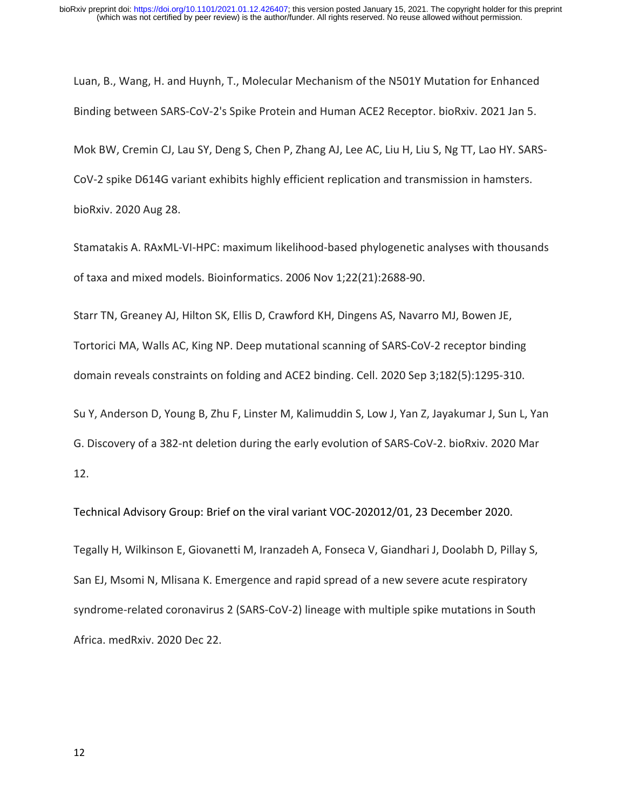Luan, B., Wang, H. and Huynh, T., Molecular Mechanism of the N501Y Mutation for Enhanced Binding between SARS‐CoV‐2's Spike Protein and Human ACE2 Receptor. bioRxiv. 2021 Jan 5.

Mok BW, Cremin CJ, Lau SY, Deng S, Chen P, Zhang AJ, Lee AC, Liu H, Liu S, Ng TT, Lao HY. SARS‐

CoV‐2 spike D614G variant exhibits highly efficient replication and transmission in hamsters.

bioRxiv. 2020 Aug 28.

Stamatakis A. RAxML‐VI‐HPC: maximum likelihood‐based phylogenetic analyses with thousands of taxa and mixed models. Bioinformatics. 2006 Nov 1;22(21):2688‐90.

Starr TN, Greaney AJ, Hilton SK, Ellis D, Crawford KH, Dingens AS, Navarro MJ, Bowen JE, Tortorici MA, Walls AC, King NP. Deep mutational scanning of SARS‐CoV‐2 receptor binding domain reveals constraints on folding and ACE2 binding. Cell. 2020 Sep 3;182(5):1295‐310.

Su Y, Anderson D, Young B, Zhu F, Linster M, Kalimuddin S, Low J, Yan Z, Jayakumar J, Sun L, Yan G. Discovery of a 382‐nt deletion during the early evolution of SARS‐CoV‐2. bioRxiv. 2020 Mar 12.

Technical Advisory Group: Brief on the viral variant VOC‐202012/01, 23 December 2020. Tegally H, Wilkinson E, Giovanetti M, Iranzadeh A, Fonseca V, Giandhari J, Doolabh D, Pillay S, San EJ, Msomi N, Mlisana K. Emergence and rapid spread of a new severe acute respiratory syndrome-related coronavirus 2 (SARS-CoV-2) lineage with multiple spike mutations in South Africa. medRxiv. 2020 Dec 22.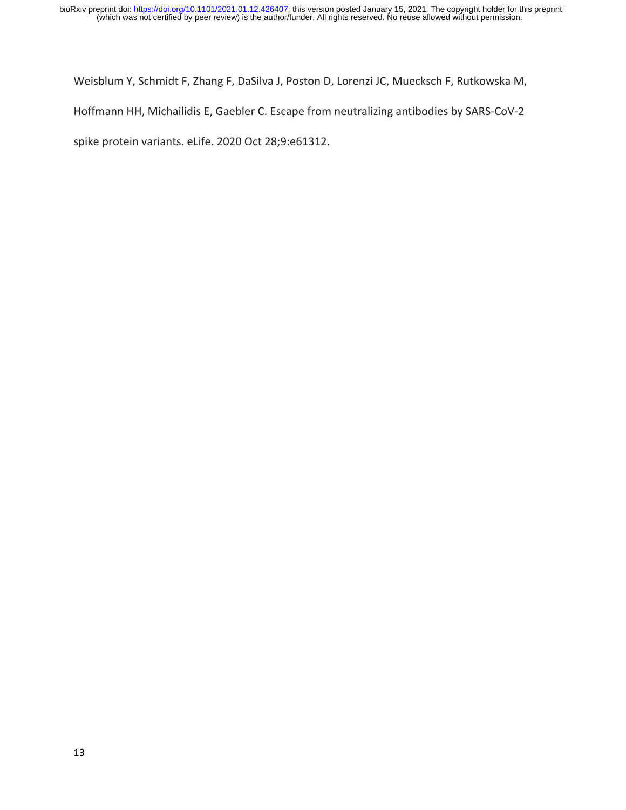Weisblum Y, Schmidt F, Zhang F, DaSilva J, Poston D, Lorenzi JC, Muecksch F, Rutkowska M, Hoffmann HH, Michailidis E, Gaebler C. Escape from neutralizing antibodies by SARS‐CoV‐2 spike protein variants. eLife. 2020 Oct 28;9:e61312.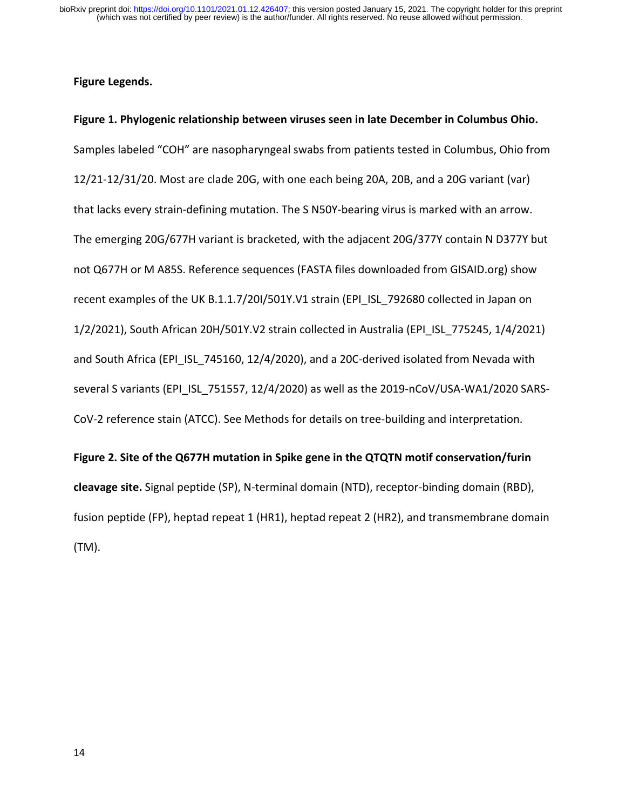## **Figure Legends.**

**Figure 1. Phylogenic relationship between viruses seen in late December in Columbus Ohio.**  Samples labeled "COH" are nasopharyngeal swabs from patients tested in Columbus, Ohio from 12/21‐12/31/20. Most are clade 20G, with one each being 20A, 20B, and a 20G variant (var) that lacks every strain‐defining mutation. The S N50Y‐bearing virus is marked with an arrow. The emerging 20G/677H variant is bracketed, with the adjacent 20G/377Y contain N D377Y but not Q677H or M A85S. Reference sequences (FASTA files downloaded from GISAID.org) show recent examples of the UK B.1.1.7/20I/501Y.V1 strain (EPI\_ISL\_792680 collected in Japan on 1/2/2021), South African 20H/501Y.V2 strain collected in Australia (EPI\_ISL\_775245, 1/4/2021) and South Africa (EPI\_ISL\_745160, 12/4/2020), and a 20C-derived isolated from Nevada with several S variants (EPI\_ISL\_751557, 12/4/2020) as well as the 2019-nCoV/USA-WA1/2020 SARS-CoV‐2 reference stain (ATCC). See Methods for details on tree‐building and interpretation.

**Figure 2. Site of the Q677H mutation in Spike gene in the QTQTN motif conservation/furin cleavage site.** Signal peptide (SP), N‐terminal domain (NTD), receptor‐binding domain (RBD), fusion peptide (FP), heptad repeat 1 (HR1), heptad repeat 2 (HR2), and transmembrane domain (TM).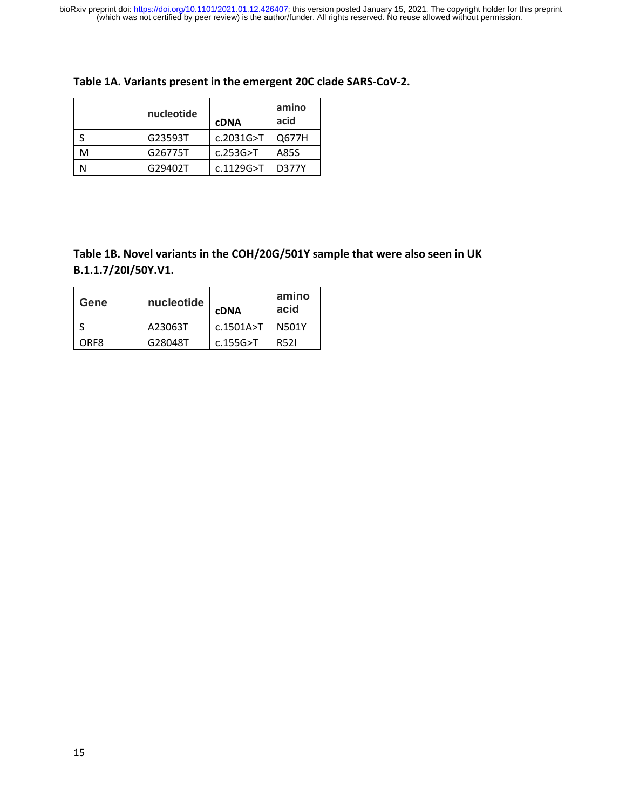|   | nucleotide | <b>cDNA</b> | amino<br>acid |
|---|------------|-------------|---------------|
|   | G23593T    | c.2031G > T | Q677H         |
| м | G26775T    | c.253G > T  | A85S          |
|   | G29402T    | c.1129G > T | <b>D377Y</b>  |

# **Table 1B. Novel variants in the COH/20G/501Y sample that were also seen in UK B.1.1.7/20I/50Y.V1.**

| Gene | nucleotide | <b>cDNA</b> | amino<br>acid |
|------|------------|-------------|---------------|
|      | A23063T    | c.1501A > T | N501Y         |
| ORF8 | G28048T    | $c.155G>$ T | R521          |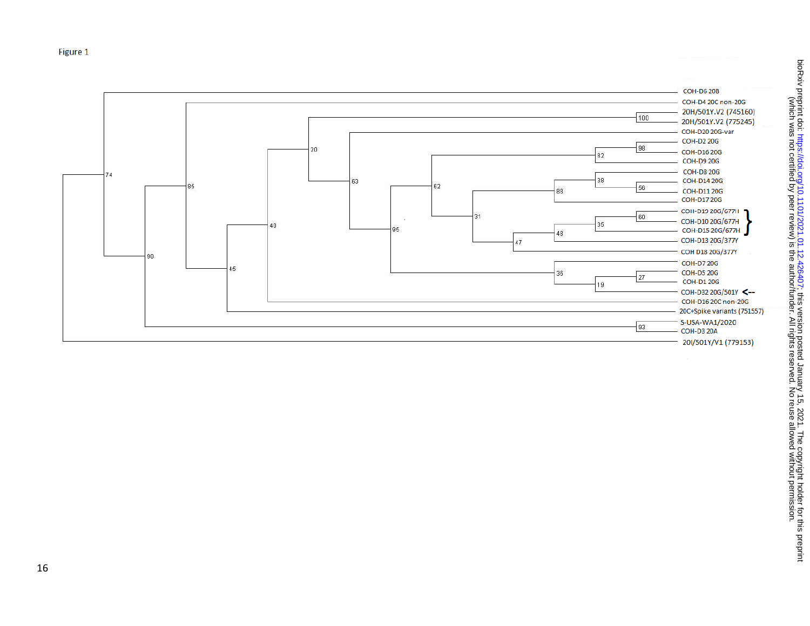